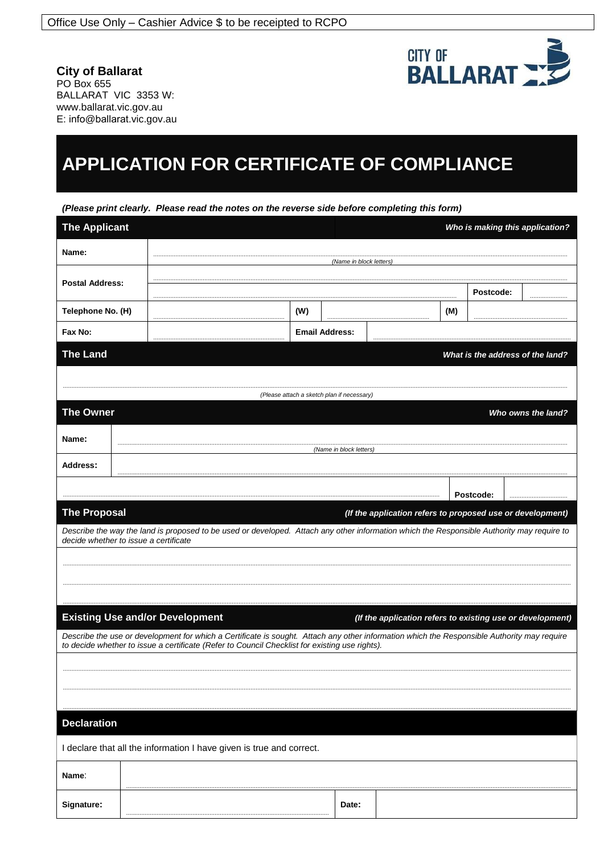

**City of Ballarat** PO Box 655 BALLARAT VIC 3353 W: www.ballarat.vic.gov.au E: info@ballarat.vic.gov.au

# **APPLICATION FOR CERTIFICATE OF COMPLIANCE**

(Please print clearly. Please read the notes on the reverse side before completing this form)

| <b>The Applicant</b>                                                                                                                                                                                                                          |                         |                                        |     |                                  | Who is making this application?                            |           |           |  |  |
|-----------------------------------------------------------------------------------------------------------------------------------------------------------------------------------------------------------------------------------------------|-------------------------|----------------------------------------|-----|----------------------------------|------------------------------------------------------------|-----------|-----------|--|--|
| Name:                                                                                                                                                                                                                                         |                         |                                        |     |                                  |                                                            |           |           |  |  |
| <b>Postal Address:</b>                                                                                                                                                                                                                        |                         | (Name in block letters                 |     |                                  |                                                            |           |           |  |  |
|                                                                                                                                                                                                                                               |                         |                                        |     |                                  |                                                            | Postcode: |           |  |  |
| Telephone No. (H)                                                                                                                                                                                                                             |                         |                                        | (W) |                                  |                                                            | (M)       |           |  |  |
| Fax No:                                                                                                                                                                                                                                       |                         |                                        |     | <b>Email Address:</b>            |                                                            |           |           |  |  |
| <b>The Land</b>                                                                                                                                                                                                                               |                         |                                        |     | What is the address of the land? |                                                            |           |           |  |  |
|                                                                                                                                                                                                                                               |                         |                                        |     |                                  |                                                            |           |           |  |  |
| (Please attach a sketch plan if necessary)                                                                                                                                                                                                    |                         |                                        |     |                                  |                                                            |           |           |  |  |
| <b>The Owner</b><br>Who owns the land?                                                                                                                                                                                                        |                         |                                        |     |                                  |                                                            |           |           |  |  |
| Name:                                                                                                                                                                                                                                         |                         |                                        |     |                                  |                                                            |           |           |  |  |
|                                                                                                                                                                                                                                               | (Name in block letters) |                                        |     |                                  |                                                            |           |           |  |  |
| <b>Address:</b>                                                                                                                                                                                                                               |                         |                                        |     |                                  |                                                            |           |           |  |  |
|                                                                                                                                                                                                                                               |                         |                                        |     |                                  |                                                            |           | Postcode: |  |  |
| <b>The Proposal</b>                                                                                                                                                                                                                           |                         |                                        |     |                                  | (If the application refers to proposed use or development) |           |           |  |  |
| Describe the way the land is proposed to be used or developed. Attach any other information which the Responsible Authority may require to<br>decide whether to issue a certificate                                                           |                         |                                        |     |                                  |                                                            |           |           |  |  |
|                                                                                                                                                                                                                                               |                         |                                        |     |                                  |                                                            |           |           |  |  |
|                                                                                                                                                                                                                                               |                         |                                        |     |                                  |                                                            |           |           |  |  |
|                                                                                                                                                                                                                                               |                         |                                        |     |                                  |                                                            |           |           |  |  |
|                                                                                                                                                                                                                                               |                         | <b>Existing Use and/or Development</b> |     |                                  | (If the application refers to existing use or development) |           |           |  |  |
| Describe the use or development for which a Certificate is sought. Attach any other information which the Responsible Authority may require<br>to decide whether to issue a certificate (Refer to Council Checklist for existing use rights). |                         |                                        |     |                                  |                                                            |           |           |  |  |
|                                                                                                                                                                                                                                               |                         |                                        |     |                                  |                                                            |           |           |  |  |
|                                                                                                                                                                                                                                               |                         |                                        |     |                                  |                                                            |           |           |  |  |
|                                                                                                                                                                                                                                               |                         |                                        |     |                                  |                                                            |           |           |  |  |
| <b>Declaration</b>                                                                                                                                                                                                                            |                         |                                        |     |                                  |                                                            |           |           |  |  |
| I declare that all the information I have given is true and correct.                                                                                                                                                                          |                         |                                        |     |                                  |                                                            |           |           |  |  |
|                                                                                                                                                                                                                                               |                         |                                        |     |                                  |                                                            |           |           |  |  |
| Name:                                                                                                                                                                                                                                         |                         |                                        |     |                                  |                                                            |           |           |  |  |
| Signature:                                                                                                                                                                                                                                    |                         |                                        |     | Date:                            |                                                            |           |           |  |  |